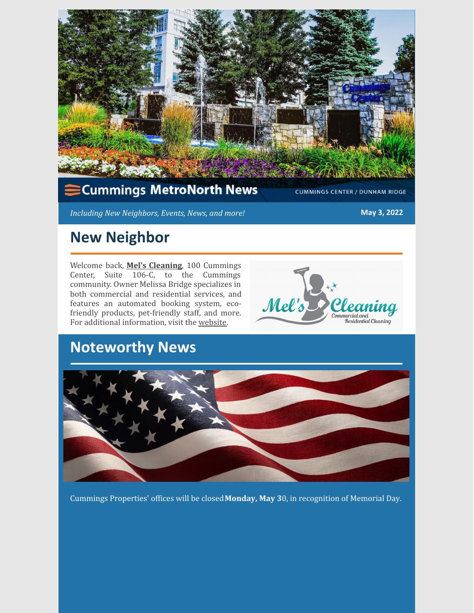

#### **Cummings MetroNorth News**

**CUMMINGS CENTER / DUNHAM RIDGE** 

*Including New Neighbors, Events, News, and more!* **May 3, 2022**

### **New Neighbor**

Welcome back, **Mel's [Cleaning](https://mels-cleaning.com/)**, 100 Cummings Center, Suite 106-C, to the Cummings community. Owner Melissa Bridge specializes in both commercial and residential services, and features an automated booking system, ecofriendly products, pet-friendly staff, and more. For additional information, visit the [website](https://mels-cleaning.com/).



### **Noteworthy News**



Cummings Properties' offices will be closed**Monday, May 3**0, in recognition of Memorial Day.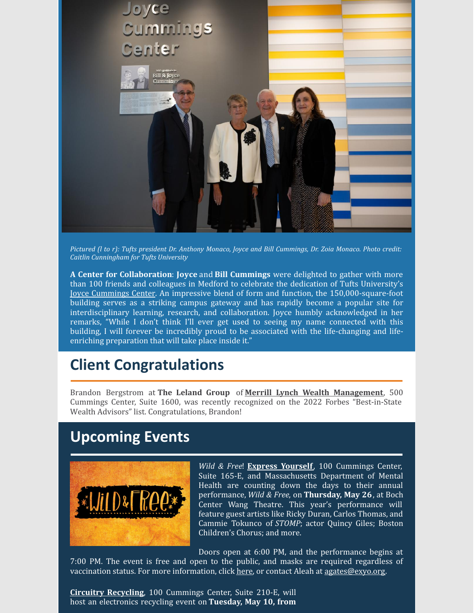

Pictured (1 to r): Tufts president Dr. Anthony Monaco, Joyce and Bill Cummings, Dr. Zoia Monaco. Photo credit: *Caitlin Cunningham for Tufts University*

**A Center for Collaboration**: **Joyce** and **Bill Cummings** were delighted to gather with more than 100 friends and colleagues in Medford to celebrate the dedication of Tufts University's Joyce [Cummings](https://provost.tufts.edu/joyce-cummings-center/) Center. An impressive blend of form and function, the 150,000-square-foot building serves as a striking campus gateway and has rapidly become a popular site for interdisciplinary learning, research, and collaboration. Joyce humbly acknowledged in her remarks, "While I don't think I'll ever get used to seeing my name connected with this building, I will forever be incredibly proud to be associated with the life-changing and lifeenriching preparation that will take place inside it."

### **Client Congratulations**

Brandon Bergstrom at **The Leland Group** of **Merrill Lynch Wealth [Management](https://fa.ml.com/massachusetts/beverly/thelelandgroup/)**, 500 Cummings Center, Suite 1600, was recently recognized on the 2022 Forbes "Best-in-State Wealth Advisors" list. Congratulations, Brandon!

### **Upcoming Events**



*Wild & Free*! **Express [Yourself](https://exyo.org/)**, 100 Cummings Center, Suite 165-E, and Massachusetts Department of Mental Health are counting down the days to their annual performance, *Wild & Free*, on **Thursday, May 26**, at Boch Center Wang Theatre. This year's performance will feature guest artists like Ricky Duran, Carlos Thomas, and Cammie Tokunco of *STOMP*; actor Quincy Giles; Boston Children's Chorus; and more.

Doors open at 6:00 PM, and the performance begins at 7:00 PM. The event is free and open to the public, and masks are required regardless of vaccination status. For more information, click [here](https://exyo.org/), or contact Aleah at [agates@exyo.org](mailto:agates@exyo.org).

**Circuitry [Recycling](https://www.circuitryrecycling.com/)**, 100 Cummings Center, Suite 210-E, will host an electronics recycling event on **Tuesday, May 10, from**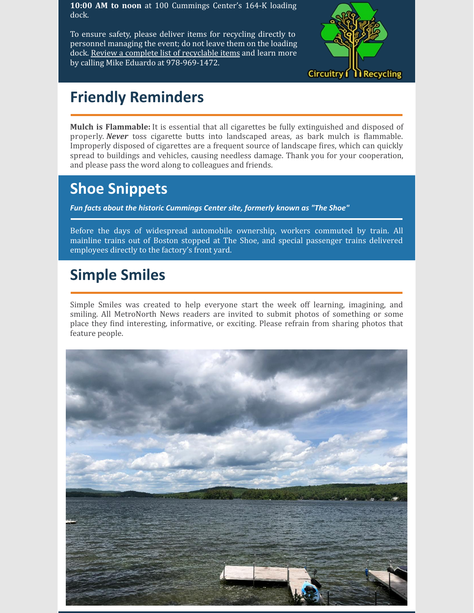**10:00 AM to noon** at 100 Cummings Center's 164-K loading dock.

To ensure safety, please deliver items for recycling directly to personnel managing the event; do not leave them on the loading dock. Review a complete list of [recyclable](https://www.cummings.com/fliers/e-waste_spring_2022.jpg) items and learn more by calling Mike Eduardo at 978-969-1472.



## **Friendly Reminders**

**Mulch is Flammable:** It is essential that all cigarettes be fully extinguished and disposed of properly. *Never* toss cigarette butts into landscaped areas, as bark mulch is flammable. Improperly disposed of cigarettes are a frequent source of landscape fires, which can quickly spread to buildings and vehicles, causing needless damage. Thank you for your cooperation, and please pass the word along to colleagues and friends.

### **Shoe Snippets**

*Fun facts about the historic Cummings Center site, formerly known as "The Shoe"*

Before the days of widespread automobile ownership, workers commuted by train. All mainline trains out of Boston stopped at The Shoe, and special passenger trains delivered employees directly to the factory's front yard.

## **Simple Smiles**

Simple Smiles was created to help everyone start the week off learning, imagining, and smiling. All MetroNorth News readers are invited to submit photos of something or some place they find interesting, informative, or exciting. Please refrain from sharing photos that feature people.